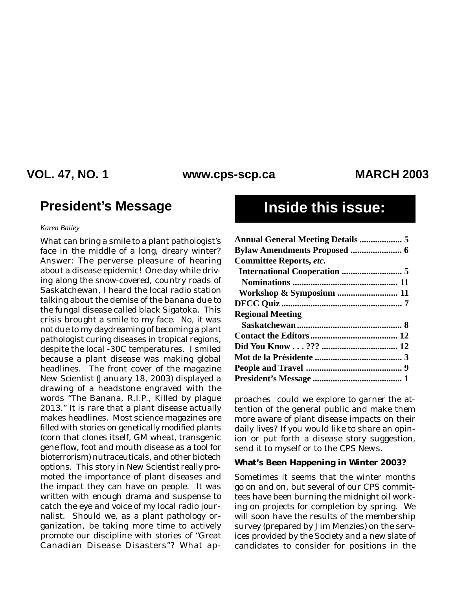### **VOL. 47, NO. 1 MARCH 2003 www.cps-scp.ca**

### **President's Message Inside this issue:**

#### *Karen Bailey*

What can bring a smile to a plant pathologist's face in the middle of a long, dreary winter? Answer: The perverse pleasure of hearing about a disease epidemic! One day while driving along the snow-covered, country roads of Saskatchewan, I heard the local radio station talking about the demise of the banana due to the fungal disease called black Sigatoka. This crisis brought a smile to my face. No, it was not due to my daydreaming of becoming a plant pathologist curing diseases in tropical regions, despite the local -30C temperatures. I smiled because a plant disease was making global headlines. The front cover of the magazine *New Scientist* (January 18, 2003) displayed a drawing of a headstone engraved with the words "The Banana, R.I.P., Killed by plague 2013." It is rare that a plant disease actually makes headlines. Most science magazines are filled with stories on genetically modified plants (corn that clones itself, GM wheat, transgenic gene flow, foot and mouth disease as a tool for bioterrorism) nutraceuticals, and other biotech options. This story in *New Scientist* really promoted the importance of plant diseases and the impact they can have on people. It was written with enough drama and suspense to catch the eye and voice of my local radio journalist. Should we, as a plant pathology organization, be taking more time to actively promote our discipline with stories of "Great Canadian Disease Disasters"? What ap-

| <b>Annual General Meeting Details  5</b> |  |
|------------------------------------------|--|
|                                          |  |
| <b>Committee Reports, etc.</b>           |  |
|                                          |  |
|                                          |  |
|                                          |  |
|                                          |  |
| <b>Regional Meeting</b>                  |  |
|                                          |  |
|                                          |  |
|                                          |  |
|                                          |  |
|                                          |  |
|                                          |  |

proaches could we explore to garner the attention of the general public and make them more aware of plant disease impacts on their daily lives? If you would like to share an opinion or put forth a disease story suggestion, send it to myself or to the *CPS News*.

#### **What's Been Happening in Winter 2003?**

Sometimes it seems that the winter months go on and on, but several of our CPS committees have been burning the midnight oil working on projects for completion by spring. We will soon have the results of the membership survey (prepared by Jim Menzies) on the services provided by the Society and a new slate of candidates to consider for positions in the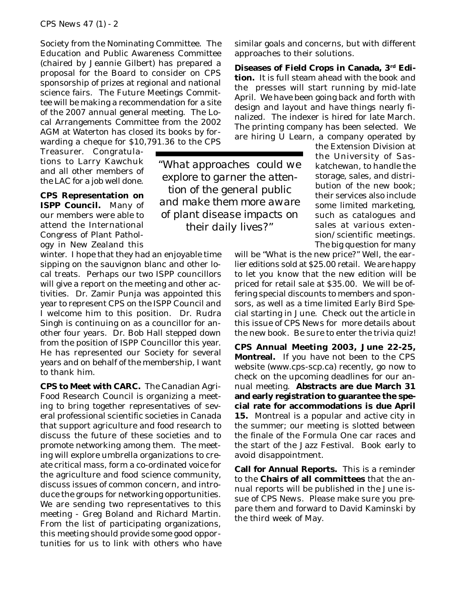Society from the Nominating Committee. The Education and Public Awareness Committee (chaired by Jeannie Gilbert) has prepared a proposal for the Board to consider on CPS sponsorship of prizes at regional and national science fairs. The Future Meetings Committee will be making a recommendation for a site of the 2007 annual general meeting. The Local Arrangements Committee from the 2002 AGM at Waterton has closed its books by forwarding a cheque for \$10,791.36 to the CPS

Treasurer. Congratulations to Larry Kawchuk and all other members of the LAC for a job well done.

**CPS Representation on ISPP Council.** Many of our members were able to attend the International Congress of Plant Pathology in New Zealand this

winter. I hope that they had an enjoyable time sipping on the sauvignon blanc and other local treats. Perhaps our two ISPP councillors will give a report on the meeting and other activities. Dr. Zamir Punja was appointed this year to represent CPS on the ISPP Council and I welcome him to this position. Dr. Rudra Singh is continuing on as a councillor for another four years. Dr. Bob Hall stepped down from the position of ISPP Councillor this year. He has represented our Society for several years and on behalf of the membership, I want to thank him.

**CPS to Meet with CARC.** The Canadian Agri-Food Research Council is organizing a meeting to bring together representatives of several professional scientific societies in Canada that support agriculture and food research to discuss the future of these societies and to promote networking among them. The meeting will explore umbrella organizations to create critical mass, form a co-ordinated voice for the agriculture and food science community, discuss issues of common concern, and introduce the groups for networking opportunities. We are sending two representatives to this meeting - Greg Boland and Richard Martin. From the list of participating organizations, this meeting should provide some good opportunities for us to link with others who have

similar goals and concerns, but with different approaches to their solutions.

**Diseases of Field Crops in Canada, 3rd Edition.** It is full steam ahead with the book and the presses will start running by mid-late April. We have been going back and forth with design and layout and have things nearly finalized. The indexer is hired for late March. The printing company has been selected. We are hiring U Learn, a company operated by

*"What approaches could we explore to garner the attention of the general public and make them more aware of plant disease impacts on their daily lives?"*

the Extension Division at the University of Saskatchewan, to handle the storage, sales, and distribution of the new book; their services also include some limited marketing, such as catalogues and sales at various extension/scientific meetings. The big question for many

will be "What is the new price?" Well, the earlier editions sold at \$25.00 retail. We are happy to let you know that the new edition will be priced for retail sale at \$35.00. We will be offering special discounts to members and sponsors, as well as a time limited Early Bird Special starting in June. Check out the article in this issue of *CPS News* for more details about the new book. Be sure to enter the trivia quiz!

**CPS Annual Meeting 2003, June 22-25, Montreal.** If you have not been to the CPS website (www.cps-scp.ca) recently, go now to check on the upcoming deadlines for our annual meeting. **Abstracts are due March 31 and early registration to guarantee the special rate for accommodations is due April 15.** Montreal is a popular and active city in the summer; our meeting is slotted between the finale of the Formula One car races and the start of the Jazz Festival. Book early to avoid disappointment.

**Call for Annual Reports.** This is a reminder to the **Chairs of all committees** that the annual reports will be published in the June issue of *CPS News*. Please make sure you prepare them and forward to David Kaminski by the third week of May.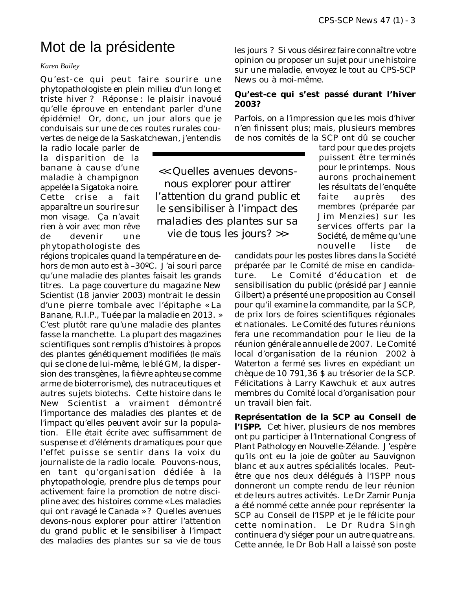# Mot de la présidente

#### *Karen Bailey*

Qu'est-ce qui peut faire sourire une phytopathologiste en plein milieu d'un long et triste hiver ? Réponse : le plaisir inavoué qu'elle éprouve en entendant parler d'une épidémie! Or, donc, un jour alors que je conduisais sur une de ces routes rurales couvertes de neige de la Saskatchewan, j'entendis

la radio locale parler de la disparition de la banane à cause d'une maladie à champignon appelée la Sigatoka noire. Cette crise a fait apparaître un sourire sur mon visage. Ça n'avait rien à voir avec mon rêve de devenir une phytopathologiste des

régions tropicales quand la température en dehors de mon auto est à –30ºC. J'ai souri parce qu'une maladie des plantes faisait les grands titres. La page couverture du magazine *New Scientist* (18 janvier 2003) montrait le dessin d'une pierre tombale avec l'épitaphe « La Banane, R.I.P., Tuée par la maladie en 2013. » C'est plutôt rare qu'une maladie des plantes fasse la manchette. La plupart des magazines scientifiques sont remplis d'histoires à propos des plantes génétiquement modifiées (le maïs qui se clone de lui-même, le blé GM, la dispersion des transgènes, la fièvre aphteuse comme arme de bioterrorisme), des nutraceutiques et autres sujets biotechs. Cette histoire dans le *New Scientist* a vraiment démontré l'importance des maladies des plantes et de l'impact qu'elles peuvent avoir sur la population. Elle était écrite avec suffisamment de suspense et d'éléments dramatiques pour que l'effet puisse se sentir dans la voix du journaliste de la radio locale. Pouvons-nous, en tant qu'organisation dédiée à la phytopathologie, prendre plus de temps pour activement faire la promotion de notre discipline avec des histoires comme « Les maladies qui ont ravagé le Canada » ? Quelles avenues devons-nous explorer pour attirer l'attention du grand public et le sensibiliser à l'impact des maladies des plantes sur sa vie de tous

les jours ? Si vous désirez faire connaître votre opinion ou proposer un sujet pour une histoire sur une maladie, envoyez le tout au *CPS-SCP News* ou à moi-même.

#### **Qu'est-ce qui s'est passé durant l'hiver 2003?**

Parfois, on a l'impression que les mois d'hiver n'en finissent plus; mais, plusieurs membres de nos comités de la SCP ont dû se coucher

*<< Quelles avenues devonsnous explorer pour attirer l'attention du grand public et le sensibiliser à l'impact des maladies des plantes sur sa vie de tous les jours? >>*

tard pour que des projets puissent être terminés pour le printemps. Nous aurons prochainement les résultats de l'enquête faite auprès des membres (préparée par Jim Menzies) sur les services offerts par la Société, de même qu'une nouvelle liste de

candidats pour les postes libres dans la Société préparée par le Comité de mise en candidature. Le Comité d'éducation et de sensibilisation du public (présidé par Jeannie Gilbert) a présenté une proposition au Conseil pour qu'il examine la commandite, par la SCP, de prix lors de foires scientifiques régionales et nationales. Le Comité des futures réunions fera une recommandation pour le lieu de la réunion générale annuelle de 2007. Le Comité local d'organisation de la réunion 2002 à Waterton a fermé ses livres en expédiant un chèque de 10 791,36 \$ au trésorier de la SCP. Félicitations à Larry Kawchuk et aux autres membres du Comité local d'organisation pour un travail bien fait.

**Représentation de la SCP au Conseil de l'ISPP.** Cet hiver, plusieurs de nos membres ont pu participer à l'International Congress of Plant Pathology en Nouvelle-Zélande. J'espère qu'ils ont eu la joie de goûter au Sauvignon blanc et aux autres spécialités locales. Peutêtre que nos deux délégués à l'ISPP nous donneront un compte rendu de leur réunion et de leurs autres activités. Le Dr Zamir Punja a été nommé cette année pour représenter la SCP au Conseil de l'ISPP et je le félicite pour cette nomination. Le Dr Rudra Singh continuera d'y siéger pour un autre quatre ans. Cette année, le Dr Bob Hall a laissé son poste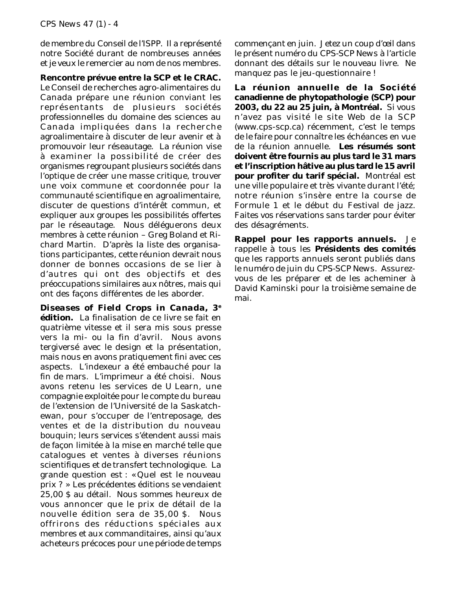de membre du Conseil de l'ISPP. Il a représenté notre Société durant de nombreuses années et je veux le remercier au nom de nos membres.

**Rencontre prévue entre la SCP et le CRAC.** Le Conseil de recherches agro-alimentaires du Canada prépare une réunion conviant les représentants de plusieurs sociétés professionnelles du domaine des sciences au Canada impliquées dans la recherche agroalimentaire à discuter de leur avenir et à promouvoir leur réseautage. La réunion vise à examiner la possibilité de créer des

organismes regroupant plusieurs sociétés dans l'optique de créer une masse critique, trouver une voix commune et coordonnée pour la communauté scientifique en agroalimentaire, discuter de questions d'intérêt commun, et expliquer aux groupes les possibilités offertes par le réseautage. Nous déléguerons deux membres à cette réunion – Greg Boland et Richard Martin. D'après la liste des organisations participantes, cette réunion devrait nous donner de bonnes occasions de se lier à d'autres qui ont des objectifs et des préoccupations similaires aux nôtres, mais qui ont des façons différentes de les aborder.

*Diseases of Field Crops in Canada***, 3e édition.** La finalisation de ce livre se fait en quatrième vitesse et il sera mis sous presse vers la mi- ou la fin d'avril. Nous avons tergiversé avec le design et la présentation, mais nous en avons pratiquement fini avec ces aspects. L'indexeur a été embauché pour la fin de mars. L'imprimeur a été choisi. Nous avons retenu les services de U Learn, une compagnie exploitée pour le compte du bureau de l'extension de l'Université de la Saskatchewan, pour s'occuper de l'entreposage, des ventes et de la distribution du nouveau bouquin; leurs services s'étendent aussi mais de façon limitée à la mise en marché telle que catalogues et ventes à diverses réunions scientifiques et de transfert technologique. La grande question est : « Quel est le nouveau prix ? » Les précédentes éditions se vendaient 25,00 \$ au détail. Nous sommes heureux de vous annoncer que le prix de détail de la nouvelle édition sera de 35,00 \$. Nous offrirons des réductions spéciales aux membres et aux commanditaires, ainsi qu'aux acheteurs précoces pour une période de temps

commençant en juin. Jetez un coup d'œil dans le présent numéro du *CPS-SCP News* à l'article donnant des détails sur le nouveau livre. Ne manquez pas le jeu-questionnaire !

**La réunion annuelle de la Société canadienne de phytopathologie (SCP) pour 2003, du 22 au 25 juin, à Montréal.** Si vous n'avez pas visité le site Web de la SCP (www.cps-scp.ca) récemment, c'est le temps de le faire pour connaître les échéances en vue de la réunion annuelle. **Les résumés sont doivent être fournis au plus tard le 31 mars et l'inscription hâtive au plus tard le 15 avril pour profiter du tarif spécial.** Montréal est une ville populaire et très vivante durant l'été; notre réunion s'insère entre la course de Formule 1 et le début du Festival de jazz. Faites vos réservations sans tarder pour éviter des désagréments.

**Rappel pour les rapports annuels.** Je rappelle à tous les **Présidents des comités** que les rapports annuels seront publiés dans le numéro de juin du *CPS-SCP News*. Assurezvous de les préparer et de les acheminer à David Kaminski pour la troisième semaine de mai.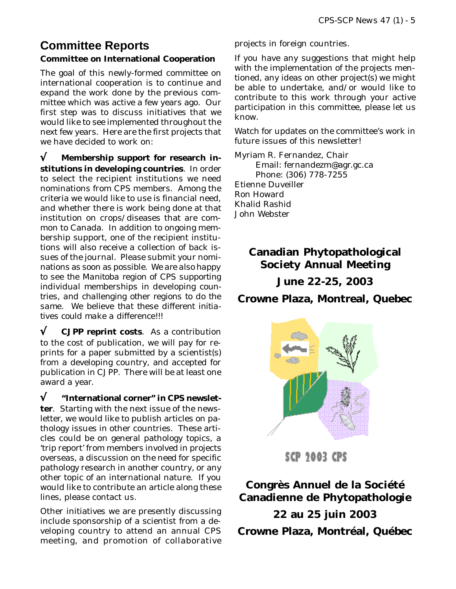### **Committee Reports Committee on International Cooperation**

The goal of this newly-formed committee on international cooperation is to continue and expand the work done by the previous committee which was active a few years ago. Our first step was to discuss initiatives that we would like to see implemented throughout the next few years. Here are the first projects that we have decided to work on:

√ **Membership support for research institutions in developing countries**. In order to select the recipient institutions we need nominations from CPS members. Among the criteria we would like to use is financial need, and whether there is work being done at that institution on crops/diseases that are common to Canada. In addition to ongoing membership support, one of the recipient institutions will also receive a collection of back issues of the journal. Please submit your nominations as soon as possible. *We are also happy to see the Manitoba region of CPS supporting individual memberships in developing countries, and challenging other regions to do the same. We believe that these different initiatives could make a difference!!!*

√ **CJPP reprint costs**. As a contribution to the cost of publication, we will pay for reprints for a paper submitted by a scientist(s) from a developing country, and accepted for publication in CJPP. There will be at least one award a year.

√ **"International corner" in CPS newsletter**. Starting with the next issue of the newsletter, we would like to publish articles on pathology issues in other countries. These articles could be on general pathology topics, a 'trip report' from members involved in projects overseas, a discussion on the need for specific pathology research in another country, or any other topic of an international nature. If you would like to contribute an article along these lines, please contact us.

Other initiatives we are presently discussing include sponsorship of a scientist from a developing country to attend an annual CPS meeting, and promotion of collaborative projects in foreign countries.

If you have any suggestions that might help with the implementation of the projects mentioned, any ideas on other project(s) we might be able to undertake, and/or would like to contribute to this work through your active participation in this committee, please let us know.

Watch for updates on the committee's work in future issues of this newsletter!

Myriam R. Fernandez, Chair Email: fernandezm@agr.gc.ca Phone: (306) 778-7255 Etienne Duveiller Ron Howard Khalid Rashid John Webster

### **Canadian Phytopathological Society Annual Meeting**

### **June 22-25, 2003**

**Crowne Plaza, Montreal, Quebec**



SCP 2003 CPS

**Congrès Annuel de la Société Canadienne de Phytopathologie**

**22 au 25 juin 2003 Crowne Plaza, Montréal, Québec**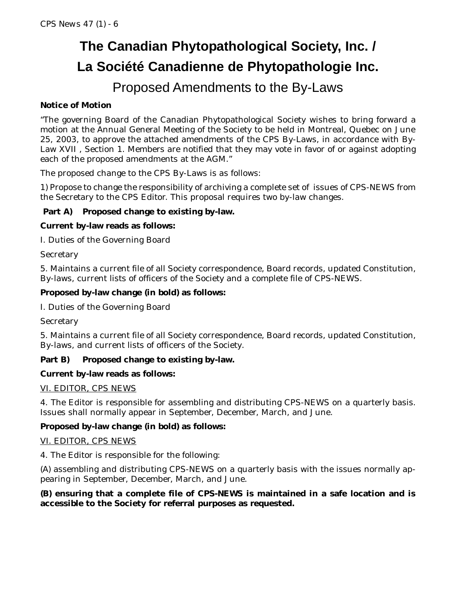# **The Canadian Phytopathological Society, Inc. / La Société Canadienne de Phytopathologie Inc.**

## Proposed Amendments to the By-Laws

### **Notice of Motion**

"The governing Board of the Canadian Phytopathological Society wishes to bring forward a motion at the Annual General Meeting of the Society to be held in Montreal, Quebec on June 25, 2003, to approve the attached amendments of the CPS By-Laws, in accordance with By-Law XVII , Section 1. Members are notified that they may vote in favor of or against adopting each of the proposed amendments at the AGM."

The proposed change to the CPS By-Laws is as follows:

1) Propose to change the responsibility of archiving a complete set of issues of CPS-NEWS from the Secretary to the CPS Editor. This proposal requires two by-law changes.

### **Part A) Proposed change to existing by-law.**

### **Current by-law reads as follows:**

I. Duties of the Governing Board

**Secretary** 

5. Maintains a current file of all Society correspondence, Board records, updated Constitution, By-laws, current lists of officers of the Society and a complete file of CPS-NEWS.

### **Proposed by-law change (in bold) as follows:**

I. Duties of the Governing Board

**Secretary** 

5. Maintains a current file of all Society correspondence, Board records, updated Constitution, By-laws, and current lists of officers of the Society.

### **Part B) Proposed change to existing by-law.**

### **Current by-law reads as follows:**

### VI. EDITOR, CPS NEWS

4. The Editor is responsible for assembling and distributing CPS-NEWS on a quarterly basis. Issues shall normally appear in September, December, March, and June.

### **Proposed by-law change (in bold) as follows:**

#### VI. EDITOR, CPS NEWS

4. The Editor is responsible for the following:

(A) assembling and distributing CPS-NEWS on a quarterly basis with the issues normally appearing in September, December, March, and June.

### **(B) ensuring that a complete file of CPS-NEWS is maintained in a safe location and is accessible to the Society for referral purposes as requested.**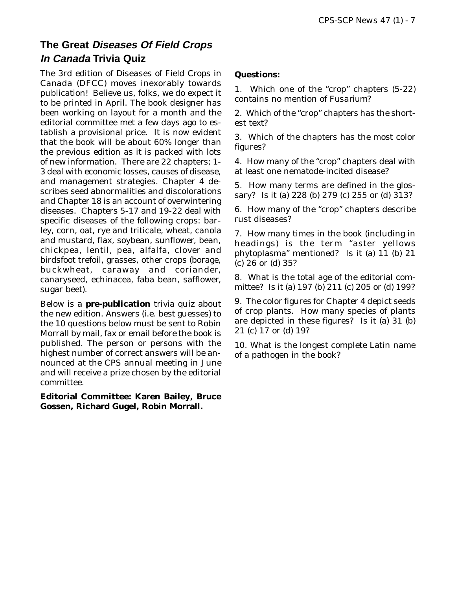### **The Great Diseases Of Field Crops In Canada Trivia Quiz**

The 3rd edition of *Diseases of Field Crops in Canada* (DFCC) moves inexorably towards publication! Believe us, folks, we do expect it to be printed in April. The book designer has been working on layout for a month and the editorial committee met a few days ago to establish a provisional price. It is now evident that the book will be about 60% longer than the previous edition as it is packed with lots of new information. There are 22 chapters; 1- 3 deal with economic losses, causes of disease, and management strategies. Chapter 4 describes seed abnormalities and discolorations and Chapter 18 is an account of overwintering diseases. Chapters 5-17 and 19-22 deal with specific diseases of the following crops: barley, corn, oat, rye and triticale, wheat, canola and mustard, flax, soybean, sunflower, bean, chickpea, lentil, pea, alfalfa, clover and birdsfoot trefoil, grasses, other crops (borage, buckwheat, caraway and coriander, canaryseed, echinacea, faba bean, safflower, sugar beet).

Below is a **pre-publication** trivia quiz about the new edition. Answers (i.e. best guesses) to the 10 questions below must be sent to Robin Morrall by mail, fax or email before the book is published. The person or persons with the highest number of correct answers will be announced at the CPS annual meeting in June and will receive a prize chosen by the editorial committee.

**Editorial Committee: Karen Bailey, Bruce Gossen, Richard Gugel, Robin Morrall.**

#### **Questions:**

1. Which one of the "crop" chapters (5-22) contains no mention of *Fusarium*?

2. Which of the "crop" chapters has the shortest text?

3. Which of the chapters has the most color figures?

4. How many of the "crop" chapters deal with at least one nematode-incited disease?

5. How many terms are defined in the glossary? Is it (a) 228 (b) 279 (c) 255 or (d) 313?

6. How many of the "crop" chapters describe rust diseases?

7. How many times in the book (including in headings) is the term "aster yellows phytoplasma" mentioned? Is it (a) 11 (b) 21 (c) 26 or (d) 35?

8. What is the total age of the editorial committee? Is it (a) 197 (b) 211 (c) 205 or (d) 199?

9. The color figures for Chapter 4 depict seeds of crop plants. How many species of plants are depicted in these figures? Is it (a) 31 (b) 21 (c) 17 or (d) 19?

10. What is the longest complete Latin name of a pathogen in the book?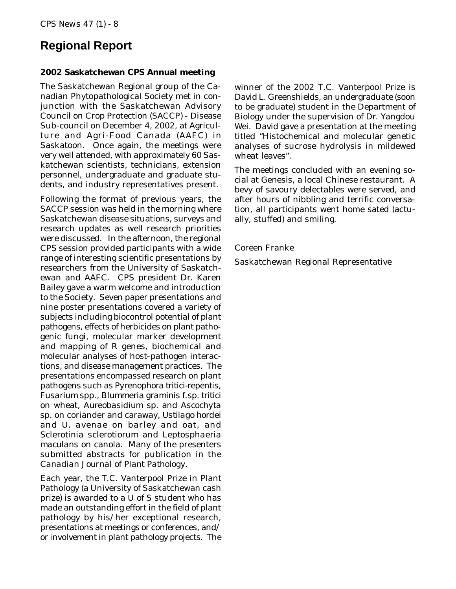### **Regional Report**

#### **2002 Saskatchewan CPS Annual meeting**

The Saskatchewan Regional group of the Canadian Phytopathological Society met in conjunction with the Saskatchewan Advisory Council on Crop Protection (SACCP) - Disease Sub-council on December 4, 2002, at Agriculture and Agri-Food Canada (AAFC) in Saskatoon. Once again, the meetings were very well attended, with approximately 60 Saskatchewan scientists, technicians, extension personnel, undergraduate and graduate students, and industry representatives present.

Following the format of previous years, the SACCP session was held in the morning where Saskatchewan disease situations, surveys and research updates as well research priorities were discussed. In the afternoon, the regional CPS session provided participants with a wide range of interesting scientific presentations by researchers from the University of Saskatchewan and AAFC. CPS president Dr. Karen Bailey gave a warm welcome and introduction to the Society. Seven paper presentations and nine poster presentations covered a variety of subjects including biocontrol potential of plant pathogens, effects of herbicides on plant pathogenic fungi, molecular marker development and mapping of R genes, biochemical and molecular analyses of host-pathogen interactions, and disease management practices. The presentations encompassed research on plant pathogens such as *Pyrenophora tritici-repentis*, *Fusarium* spp., *Blummeria graminis* f.sp. *tritici* on wheat, *Aureobasidium* sp. and *Ascochyta* sp. on coriander and caraway, *Ustilago hordei* and *U. avenae* on barley and oat, and *Sclerotinia sclerotiorum* and *Leptosphaeria maculans* on canola. Many of the presenters submitted abstracts for publication in the *Canadian Journal of Plant Pathology*.

Each year, the T.C. Vanterpool Prize in Plant Pathology (a University of Saskatchewan cash prize) is awarded to a U of S student who has made an outstanding effort in the field of plant pathology by his/her exceptional research, presentations at meetings or conferences, and/ or involvement in plant pathology projects. The

winner of the 2002 T.C. Vanterpool Prize is David L. Greenshields, an undergraduate (soon to be graduate) student in the Department of Biology under the supervision of Dr. Yangdou Wei. David gave a presentation at the meeting titled "Histochemical and molecular genetic analyses of sucrose hydrolysis in mildewed wheat leaves".

The meetings concluded with an evening social at *Genesis*, a local Chinese restaurant. A bevy of savoury delectables were served, and after hours of nibbling and terrific conversation, all participants went home sated (actually, stuffed) and smiling.

#### Coreen Franke

Saskatchewan Regional Representative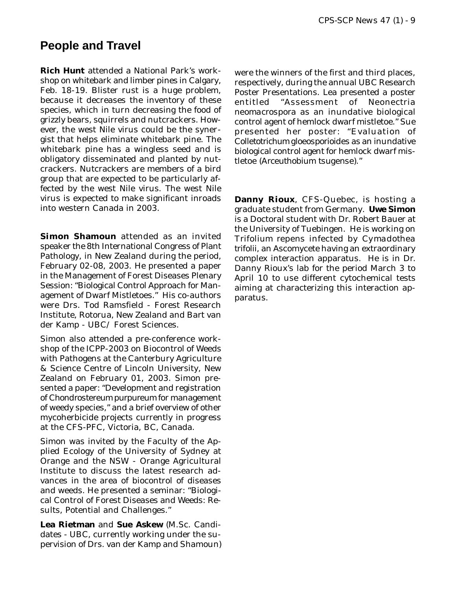### **People and Travel**

**Rich Hunt** attended a National Park's workshop on whitebark and limber pines in Calgary, Feb. 18-19. Blister rust is a huge problem, because it decreases the inventory of these species, which in turn decreasing the food of grizzly bears, squirrels and nutcrackers. However, the west Nile virus could be the synergist that helps eliminate whitebark pine. The whitebark pine has a wingless seed and is obligatory disseminated and planted by nutcrackers. Nutcrackers are members of a bird group that are expected to be particularly affected by the west Nile virus. The west Nile virus is expected to make significant inroads into western Canada in 2003.

**Simon Shamoun** attended as an invited speaker the 8th International Congress of Plant Pathology, in New Zealand during the period, February 02-08, 2003. He presented a paper in the Management of Forest Diseases Plenary Session: "Biological Control Approach for Management of Dwarf Mistletoes." His co-authors were Drs. Tod Ramsfield - Forest Research Institute, Rotorua, New Zealand and Bart van der Kamp - UBC/ Forest Sciences.

Simon also attended a pre-conference workshop of the ICPP-2003 on Biocontrol of Weeds with Pathogens at the Canterbury Agriculture & Science Centre of Lincoln University, New Zealand on February 01, 2003. Simon presented a paper: "Development and registration of *Chondrostereum purpureum* for management of weedy species," and a brief overview of other mycoherbicide projects currently in progress at the CFS-PFC, Victoria, BC, Canada.

Simon was invited by the Faculty of the Applied Ecology of the University of Sydney at Orange and the NSW - Orange Agricultural Institute to discuss the latest research advances in the area of biocontrol of diseases and weeds. He presented a seminar: "Biological Control of Forest Diseases and Weeds: Results, Potential and Challenges."

**Lea Rietman** and **Sue Askew** (M.Sc. Candidates - UBC, currently working under the supervision of Drs. van der Kamp and Shamoun) were the winners of the first and third places, respectively, during the annual UBC Research Poster Presentations. Lea presented a poster entitled "Assessment of *Neonectria neomacrospora* as an inundative biological control agent of hemlock dwarf mistletoe." Sue presented her poster: "Evaluation of *Colletotrichum gloeosporioides* as an inundative biological control agent for hemlock dwarf mistletoe (*Arceuthobium tsugense*)."

**Danny Rioux**, CFS-Quebec, is hosting a graduate student from Germany. **Uwe Simon** is a Doctoral student with Dr. Robert Bauer at the University of Tuebingen. He is working on *Trifolium repens* infected by *Cymadothea trifolii*, an Ascomycete having an extraordinary complex interaction apparatus. He is in Dr. Danny Rioux's lab for the period March 3 to April 10 to use different cytochemical tests aiming at characterizing this interaction apparatus.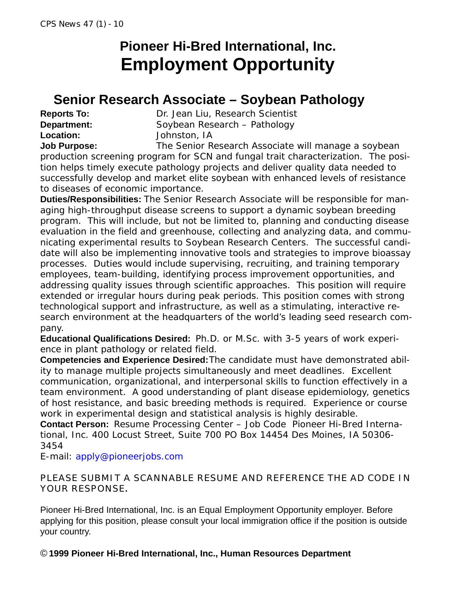# **Pioneer Hi-Bred International, Inc. Employment Opportunity**

## **Senior Research Associate – Soybean Pathology**

**Location:** Johnston, IA

**Reports To:** Dr. Jean Liu, Research Scientist **Department:** Soybean Research – Pathology

**Job Purpose:** The Senior Research Associate will manage a soybean production screening program for SCN and fungal trait characterization. The position helps timely execute pathology projects and deliver quality data needed to successfully develop and market elite soybean with enhanced levels of resistance to diseases of economic importance.

**Duties/Responsibilities:** The Senior Research Associate will be responsible for managing high-throughput disease screens to support a dynamic soybean breeding program. This will include, but not be limited to, planning and conducting disease evaluation in the field and greenhouse, collecting and analyzing data, and communicating experimental results to Soybean Research Centers. The successful candidate will also be implementing innovative tools and strategies to improve bioassay processes. Duties would include supervising, recruiting, and training temporary employees, team-building, identifying process improvement opportunities, and addressing quality issues through scientific approaches. This position will require extended or irregular hours during peak periods. This position comes with strong technological support and infrastructure, as well as a stimulating, interactive research environment at the headquarters of the world's leading seed research company.

**Educational Qualifications Desired:** Ph.D. or M.Sc. with 3-5 years of work experience in plant pathology or related field.

**Competencies and Experience Desired:**The candidate must have demonstrated ability to manage multiple projects simultaneously and meet deadlines. Excellent communication, organizational, and interpersonal skills to function effectively in a team environment. A good understanding of plant disease epidemiology, genetics of host resistance, and basic breeding methods is required. Experience or course work in experimental design and statistical analysis is highly desirable.

**Contact Person:** Resume Processing Center – Job Code Pioneer Hi-Bred International, Inc. 400 Locust Street, Suite 700 PO Box 14454 Des Moines, IA 50306- 3454

E-mail: apply@pioneerjobs.com

PLEASE SUBMIT A SCANNABLE RESUME AND REFERENCE THE AD CODE IN YOUR RESPONSE**.**

Pioneer Hi-Bred International, Inc. is an Equal Employment Opportunity employer. Before applying for this position, please consult your local immigration office if the position is outside your country.

### © **1999 Pioneer Hi-Bred International, Inc., Human Resources Department**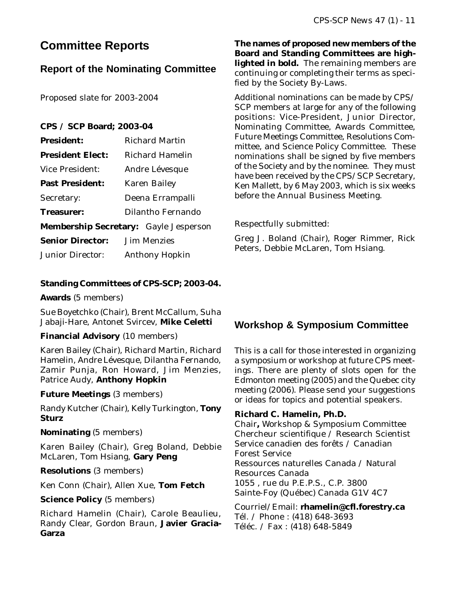### **Committee Reports**

### **Report of the Nominating Committee**

Proposed slate for 2003-2004

### **CPS / SCP Board; 2003-04**

| <b>President:</b>       | <b>Richard Martin</b>                        |
|-------------------------|----------------------------------------------|
| <b>President Elect:</b> | Richard Hamelin                              |
| Vice President:         | Andre Lévesque                               |
| <b>Past President:</b>  | Karen Bailey                                 |
| Secretary:              | Deena Errampalli                             |
| <b>Treasurer:</b>       | Dilantho Fernando                            |
|                         | <b>Membership Secretary:</b> Gayle Jesperson |
| <b>Senior Director:</b> | Jim Menzies                                  |
| <b>Junior Director:</b> | <b>Anthony Hopkin</b>                        |

#### **Standing Committees of CPS-SCP; 2003-04.**

**Awards** (5 members)

Sue Boyetchko (Chair), Brent McCallum, Suha Jabaji-Hare, Antonet Svircev, **Mike Celetti**

#### **Financial Advisory** (10 members)

Karen Bailey (Chair), Richard Martin, Richard Hamelin, Andre Lévesque, Dilantha Fernando, Zamir Punja, Ron Howard, Jim Menzies, Patrice Audy, **Anthony Hopkin**

#### **Future Meetings** (3 members)

Randy Kutcher (Chair), Kelly Turkington, **Tony Sturz**

#### **Nominating** (5 members)

Karen Bailey (Chair), Greg Boland, Debbie McLaren, Tom Hsiang, **Gary Peng**

**Resolutions** (3 members)

Ken Conn (Chair), Allen Xue, **Tom Fetch**

**Science Policy** (5 members)

Richard Hamelin (Chair), Carole Beaulieu, Randy Clear, Gordon Braun, **Javier Gracia-Garza**

**The names of proposed new members of the Board and Standing Committees are highlighted in bold.** The remaining members are continuing or completing their terms as specified by the Society By-Laws.

Additional nominations can be made by CPS/ SCP members at large for any of the following positions: Vice-President, Junior Director, Nominating Committee, Awards Committee, Future Meetings Committee, Resolutions Committee, and Science Policy Committee. These nominations shall be signed by five members of the Society and by the nominee. They must have been received by the CPS/SCP Secretary, Ken Mallett, by 6 May 2003, which is six weeks before the Annual Business Meeting.

Respectfully submitted:

Greg J. Boland (Chair), Roger Rimmer, Rick Peters, Debbie McLaren, Tom Hsiang.

### **Workshop & Symposium Committee**

This is a call for those interested in organizing a symposium or workshop at future CPS meetings. There are plenty of slots open for the Edmonton meeting (2005) and the Quebec city meeting (2006). Please send your suggestions or ideas for topics and potential speakers.

#### **Richard C. Hamelin, Ph.D.**

Chair**,** Workshop & Symposium Committee Chercheur scientifique / Research Scientist Service canadien des forêts / Canadian Forest Service Ressources naturelles Canada / Natural Resources Canada 1055 , rue du P.E.P.S., C.P. 3800 Sainte-Foy (Québec) Canada G1V 4C7

Courriel/Email: **rhamelin@cfl.forestry.ca** Tél. / Phone : (418) 648-3693 Téléc. / Fax : (418) 648-5849